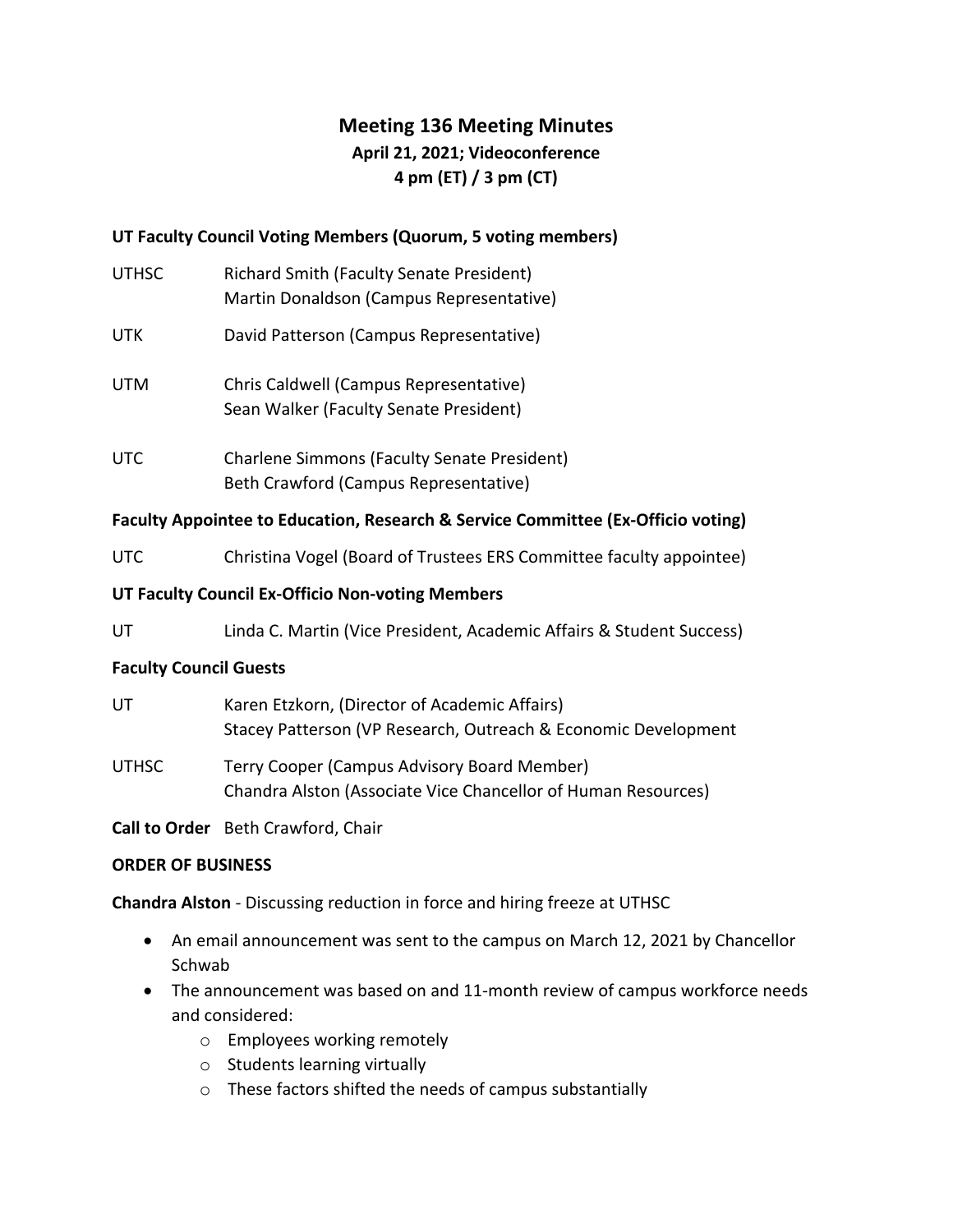## **Meeting 136 Meeting Minutes**

# **April 21, 2021; Videoconference**

## **4 pm (ET) / 3 pm (CT)**

## **UT Faculty Council Voting Members (Quorum, 5 voting members)**

- **UTHSC**  Martin Donaldson (Campus Representative) Richard Smith (Faculty Senate President)
- **UTK** David Patterson (Campus Representative)
- UTM Chris Caldwell (Campus Representative) Sean Walker (Faculty Senate President)
- Beth Crawford (Campus Representative) UTC Charlene Simmons (Faculty Senate President)

## **Faculty Appointee to Education, Research & Service Committee (Ex-Officio voting)**

UTC Christina Vogel (Board of Trustees ERS Committee faculty appointee)

#### **UT Faculty Council Ex-Officio Non-voting Members**

**UT** Linda C. Martin (Vice President, Academic Affairs & Student Success)

#### **Faculty Council Guests**

| UT    | Karen Etzkorn, (Director of Academic Affairs)                  |
|-------|----------------------------------------------------------------|
|       | Stacey Patterson (VP Research, Outreach & Economic Development |
| UTHSC | Terry Cooper (Campus Advisory Board Member)                    |
|       | Chandra Alston (Associate Vice Chancellor of Human Resources)  |

**Call to Order** Beth Crawford, Chair

#### **ORDER OF BUSINESS**

**Chandra Alston** - Discussing reduction in force and hiring freeze at UTHSC

- • An email announcement was sent to the campus on March 12, 2021 by Chancellor Schwab
- • The announcement was based on and 11-month review of campus workforce needs and considered:
	- o Employees working remotely
	- o Students learning virtually
	- $\circ$  These factors shifted the needs of campus substantially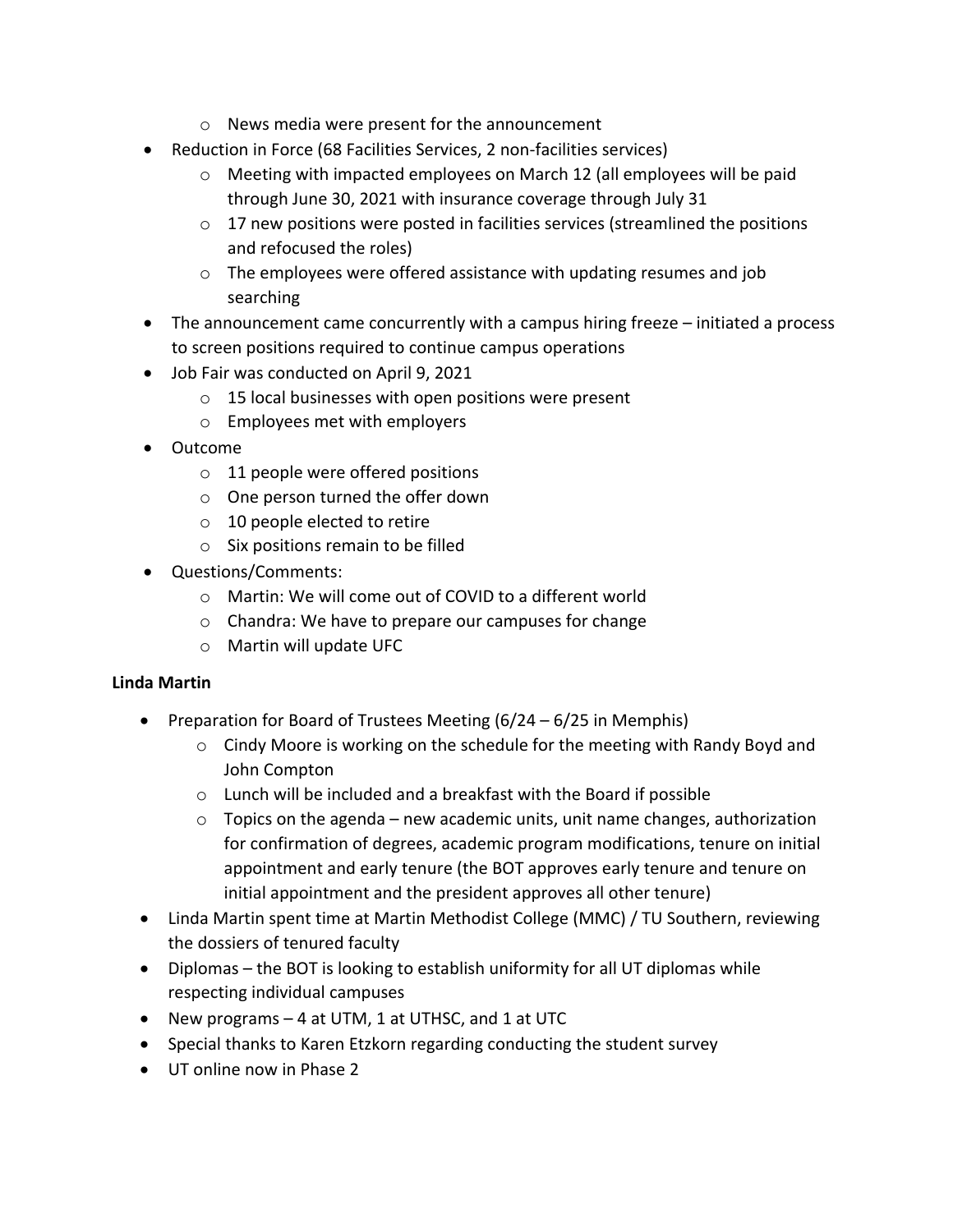- o News media were present for the announcement
- • Reduction in Force (68 Facilities Services, 2 non-facilities services)
	- o Meeting with impacted employees on March 12 (all employees will be paid through June 30, 2021 with insurance coverage through July 31
	- $\circ$  17 new positions were posted in facilities services (streamlined the positions and refocused the roles)
	- $\circ$  The employees were offered assistance with updating resumes and job searching
- • The announcement came concurrently with a campus hiring freeze initiated a process to screen positions required to continue campus operations
- • Job Fair was conducted on April 9, 2021
	- $\circ$  15 local businesses with open positions were present
	- o Employees met with employers
- Outcome
	- $\circ$  11 people were offered positions
	- o One person turned the offer down
	- $\circ$  10 people elected to retire
	- $\circ$  Six positions remain to be filled
- Questions/Comments:
	- o Martin: We will come out of COVID to a different world
	- o Chandra: We have to prepare our campuses for change
	- o Martin will update UFC

## **Linda Martin**

- • Preparation for Board of Trustees Meeting (6/24 6/25 in Memphis)
	- o Cindy Moore is working on the schedule for the meeting with Randy Boyd and John Compton
	- $\circ$  Lunch will be included and a breakfast with the Board if possible
	- $\circ$  Topics on the agenda new academic units, unit name changes, authorization for confirmation of degrees, academic program modifications, tenure on initial appointment and early tenure (the BOT approves early tenure and tenure on initial appointment and the president approves all other tenure)
- • Linda Martin spent time at Martin Methodist College (MMC) / TU Southern, reviewing the dossiers of tenured faculty
- • Diplomas the BOT is looking to establish uniformity for all UT diplomas while respecting individual campuses
- New programs 4 at UTM, 1 at UTHSC, and 1 at UTC
- Special thanks to Karen Etzkorn regarding conducting the student survey
- UT online now in Phase 2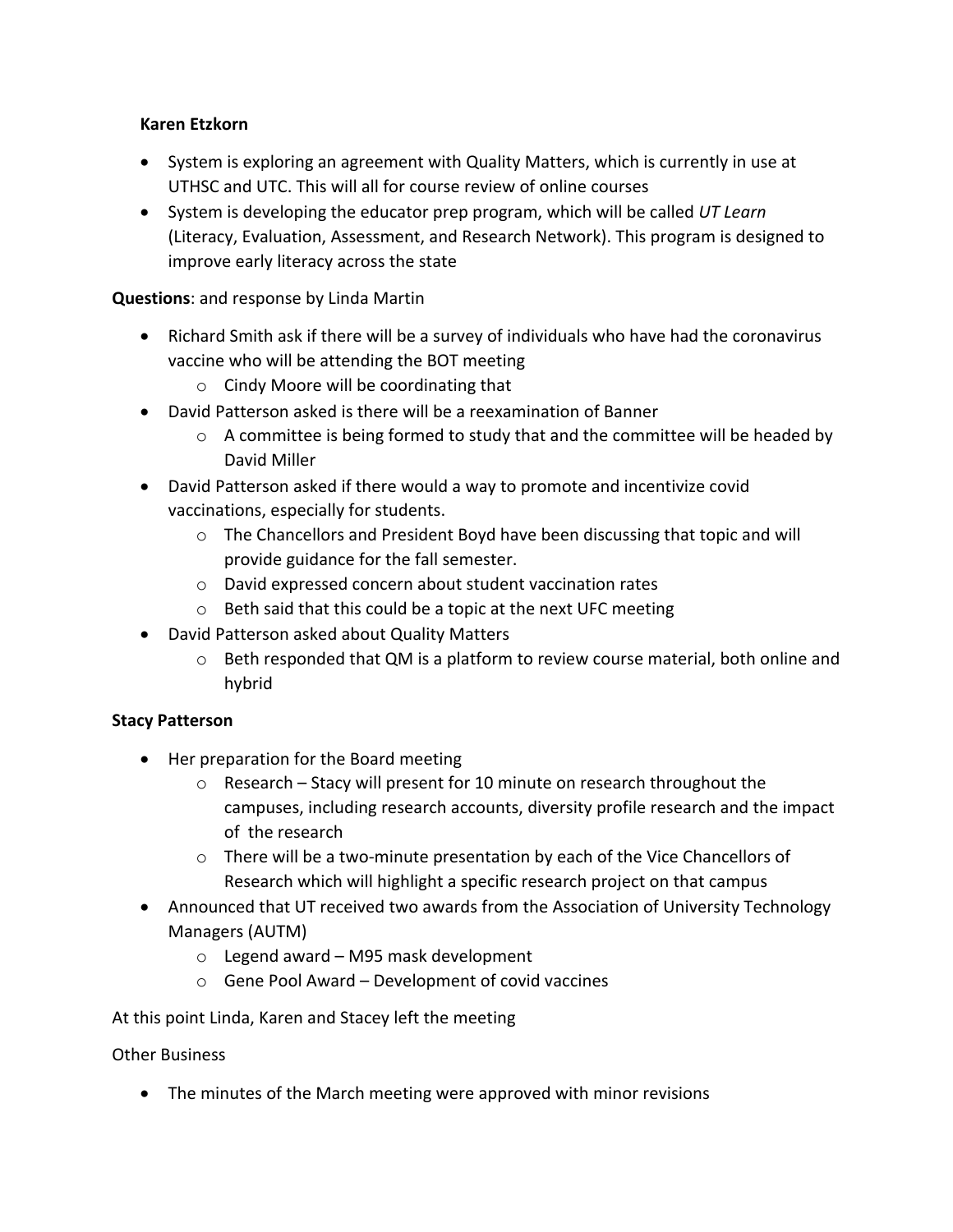## **Karen Etzkorn**

- • System is exploring an agreement with Quality Matters, which is currently in use at UTHSC and UTC. This will all for course review of online courses
- • System is developing the educator prep program, which will be called *UT Learn*  (Literacy, Evaluation, Assessment, and Research Network). This program is designed to improve early literacy across the state

## **Questions**: and response by Linda Martin

- • Richard Smith ask if there will be a survey of individuals who have had the coronavirus vaccine who will be attending the BOT meeting
	- o Cindy Moore will be coordinating that
- • David Patterson asked is there will be a reexamination of Banner
	- $\circ$  A committee is being formed to study that and the committee will be headed by David Miller
- • David Patterson asked if there would a way to promote and incentivize covid vaccinations, especially for students.
	- o The Chancellors and President Boyd have been discussing that topic and will provide guidance for the fall semester.
	- o David expressed concern about student vaccination rates
	- $\circ$  Beth said that this could be a topic at the next UFC meeting
- • David Patterson asked about Quality Matters
	- $\circ$  Beth responded that QM is a platform to review course material, both online and hybrid

## **Stacy Patterson**

- • Her preparation for the Board meeting
	- o Research Stacy will present for 10 minute on research throughout the campuses, including research accounts, diversity profile research and the impact of the research
	- o There will be a two-minute presentation by each of the Vice Chancellors of Research which will highlight a specific research project on that campus
- • Announced that UT received two awards from the Association of University Technology Managers (AUTM)
	- o Legend award M95 mask development
	- $\circ$  Gene Pool Award Development of covid vaccines

#### At this point Linda, Karen and Stacey left the meeting

#### Other Business

• The minutes of the March meeting were approved with minor revisions